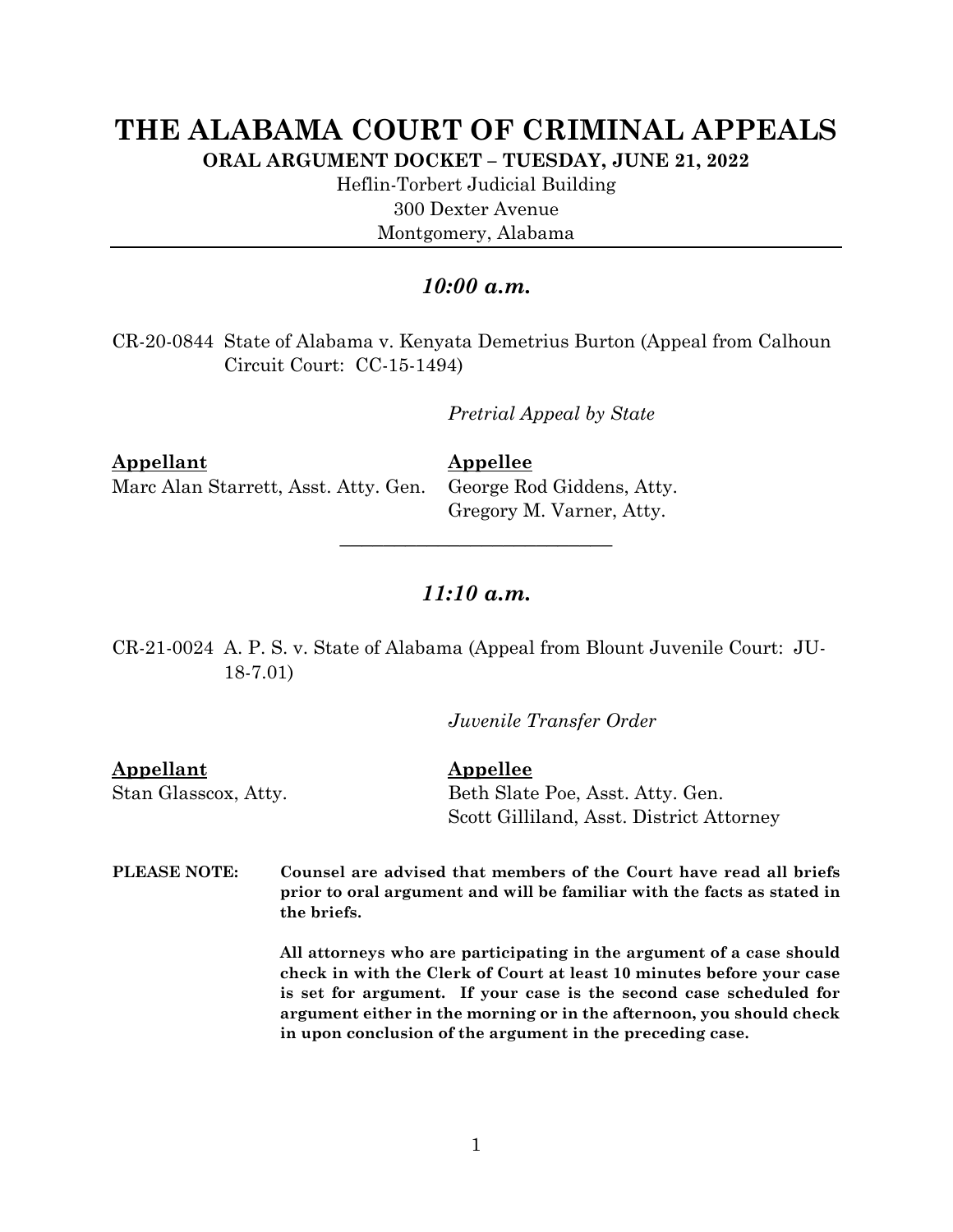## **THE ALABAMA COURT OF CRIMINAL APPEALS**

**ORAL ARGUMENT DOCKET – TUESDAY, JUNE 21, 2022**

Heflin-Torbert Judicial Building 300 Dexter Avenue Montgomery, Alabama

## *10:00 a.m.*

CR-20-0844 State of Alabama v. Kenyata Demetrius Burton (Appeal from Calhoun Circuit Court: CC-15-1494)

*Pretrial Appeal by State*

**Appellant Appellee** Marc Alan Starrett, Asst. Atty. Gen. George Rod Giddens, Atty.

Gregory M. Varner, Atty.

## *11:10 a.m.*

*\_\_\_\_\_\_\_\_\_\_\_\_\_\_\_\_\_\_\_\_\_\_\_\_\_*

CR-21-0024 A. P. S. v. State of Alabama (Appeal from Blount Juvenile Court: JU-18-7.01)

*Juvenile Transfer Order*

**Appellant Appellee** Stan Glasscox, Atty. Beth Slate Poe, Asst. Atty. Gen. Scott Gilliland, Asst. District Attorney

**PLEASE NOTE: Counsel are advised that members of the Court have read all briefs prior to oral argument and will be familiar with the facts as stated in the briefs.**

> **All attorneys who are participating in the argument of a case should check in with the Clerk of Court at least 10 minutes before your case is set for argument. If your case is the second case scheduled for argument either in the morning or in the afternoon, you should check in upon conclusion of the argument in the preceding case.**